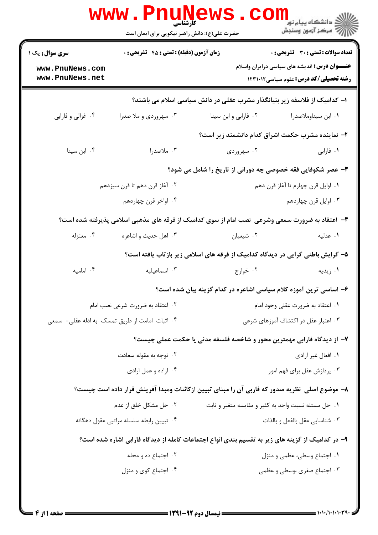| <b>سری سوال :</b> یک ۱                         | <b>زمان آزمون (دقیقه) : تستی : 45 قشریحی : 0</b>                    |                                                                                                  | <b>تعداد سوالات : تستی : 30 ٪ تشریحی : 0</b>                                                          |
|------------------------------------------------|---------------------------------------------------------------------|--------------------------------------------------------------------------------------------------|-------------------------------------------------------------------------------------------------------|
| www.PnuNews.com<br>www.PnuNews.net             |                                                                     |                                                                                                  | <b>عنـــوان درس:</b> اندیشه های سیاسی درایران واسلام<br><b>رشته تحصیلی/کد درس:</b> علوم سیاسی ۱۲۳۱۰۱۲ |
|                                                |                                                                     | ا– کدامیک از فلاسفه زیر بنیانگذار مشرب عقلی در دانش سیاسی اسلام می باشند؟                        |                                                                                                       |
| ۰۴ غزالي و فارابي                              | ۰۳ سهروردی و ملا صدرا                                               | ۰۲ فارابي و ابن سينا                                                                             | ۰۱ ابن سیناوملاصدرا                                                                                   |
|                                                |                                                                     | ۲- نماینده مشرب حکمت اشراق کدام دانشمند زیر است؟                                                 |                                                                                                       |
| ۰۴ ابن سينا                                    | ۰۳ ملاصدرا                                                          | ۰۲ سهروردی                                                                                       | ۰۱ فارابی                                                                                             |
|                                                |                                                                     | <b>۳</b> - عصر شکوفایی فقه خصوصی چه دورانی از تاریخ را شامل می شود؟                              |                                                                                                       |
|                                                | ۰۲ آغاز قرن دهم تا قرن سيزدهم<br>۰۱ اوایل قرن چهارم تا آغاز قرن دهم |                                                                                                  |                                                                                                       |
|                                                | ۰۴ اواخر قرن چهاردهم                                                |                                                                                                  | ۰۳ اوایل قرن چهاردهم                                                                                  |
|                                                |                                                                     | ۴- اعتقاد به ضرورت سمعی وشرعی ًنصب امام از سوی کدامیک از فرقه های مذهبی اسلامی پذیرفته شده است؟  |                                                                                                       |
| ۰۴ معتزله                                      | ۰۳ اهل حديث و اشاعره                                                | ۰۲ شیعیان                                                                                        | ٠١. عدليه                                                                                             |
|                                                |                                                                     | ۵– گرایش باطنی گرایی در دیدگاه کدامیک از فرقه های اسلامی زیر بازتاب یافته است؟                   |                                                                                                       |
| ۰۴ امامیه                                      | ۰۳ اسماعیلیه                                                        | ۰۲ خوارج                                                                                         | ۰۱ زیدیه                                                                                              |
|                                                |                                                                     | ۶– اساسی ترین آموزه کلام سیاسی اشاعره در کدام گزینه بیان شده است؟                                |                                                                                                       |
|                                                | ۰۲ اعتقاد به ضرورت شرعی نصب امام                                    | ۰۱ اعتقاد به ضرورت عقلی وجود امام                                                                |                                                                                                       |
| ۰۴ اثبات امامت از طريق تمسك به ادله عقلي- سمعي |                                                                     | ۰۳ اعتبار عقل در اکتشاف آموزهای شرعی                                                             |                                                                                                       |
|                                                |                                                                     | ۷- از دیدگاه فارابی مهمترین محور و شاخصه فلسفه مدنی یا حکمت عملی چیست؟                           |                                                                                                       |
|                                                | ۰۲ توجه به مقوله سعادت                                              | ۰۱ افعال غیر ارادی                                                                               |                                                                                                       |
| ۰۴ اراده و عمل ارادي                           |                                                                     | ۰۳ پردازش عقل برای فهم امور                                                                      |                                                                                                       |
|                                                |                                                                     | ٨− موضوع اصلی  نظریه صدور که فاربی آن را مبنای تبیین ازکائنات ومبدا آفرینش قرار داده است چیست؟   |                                                                                                       |
|                                                | ۰۲ حل مشکل خلق از عدم                                               | ۰۱ حل مسئله نسبت واحد به کثیر و مقایسه متغیر و ثابت                                              |                                                                                                       |
| ۰۴ تبيين رابطه سلسله مراتبي عقول دهگانه        |                                                                     |                                                                                                  | ۰۳ شناسایی عقل بالفعل و بالذات                                                                        |
|                                                |                                                                     | ۹– در کدامیک از گزینه های زیر به تقسیم بندی انواع اجتماعات کامله از دیدگاه فارابی اشاره شده است؟ |                                                                                                       |
|                                                | ۰۲ اجتماع ده و محله                                                 |                                                                                                  | ۰۱ اجتماع وسطی، عظمی و منزل                                                                           |
|                                                | ۰۴ اجتماع کوی و منزل                                                |                                                                                                  | ۰۳ اجتماع صغری ،وسطی و عظمی                                                                           |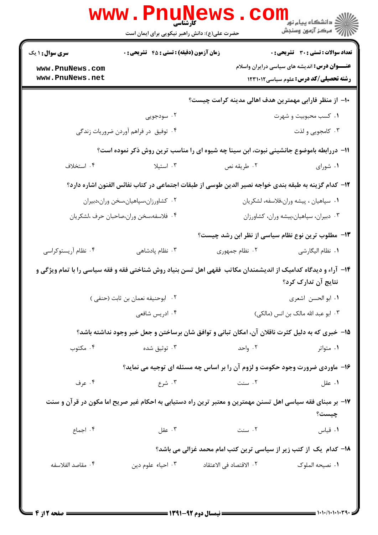|                                                                                                                    | <b>www . Phur</b><br><b>کارشناسی</b><br>حضرت علی(ع): دانش راهبر نیکویی برای ایمان است                         |                         | <sup>ال</sup> ڪ دانشڪاه پيام نور <sup>دا</sup><br>ا¶ مرڪز آزمون وسنڊش                                 |  |
|--------------------------------------------------------------------------------------------------------------------|---------------------------------------------------------------------------------------------------------------|-------------------------|-------------------------------------------------------------------------------------------------------|--|
| <b>سری سوال : ۱ یک</b>                                                                                             | زمان آزمون (دقیقه) : تستی : 45 آتشریحی : 0                                                                    |                         | تعداد سوالات : تستى : 30 - تشريحي : 0                                                                 |  |
| www.PnuNews.com<br>www.PnuNews.net                                                                                 |                                                                                                               |                         | <b>عنـــوان درس:</b> اندیشه های سیاسی درایران واسلام<br><b>رشته تحصیلی/کد درس:</b> علوم سیاسی ۱۲۳۱۰۱۲ |  |
|                                                                                                                    |                                                                                                               |                         | ∙ا− از منظر فارابی مهمترین هدف اهالی مدینه کرامت چیست؟                                                |  |
|                                                                                                                    | ۰۲ سودجویی                                                                                                    |                         | ۰۱ کسب محبوبیت و شهرت                                                                                 |  |
|                                                                                                                    | ۰۴ توفیق در فراهم آوردن ضروریات زندگی                                                                         |                         | ۰۳ کامجويي و لذت                                                                                      |  |
|                                                                                                                    | 11- دررابطه باموضوع جانشینی نبوت، ابن سینا چه شیوه ای را مناسب ترین روش ذکر نموده است؟                        |                         |                                                                                                       |  |
| ۰۴ استخلاف                                                                                                         | ۰۳ استیلا                                                                                                     | ۰۲ طريقه نص             | ٠١. شوراي                                                                                             |  |
|                                                                                                                    | ۱۲– کدام گزینه به طبقه بندی خواجه نصیر الدین طوسی از طبقات اجتماعی در کتاب نفائس الفنون اشاره دارد؟           |                         |                                                                                                       |  |
|                                                                                                                    | ۰۲ کشاورزان،سپاهیان،سخن وران،دبیران                                                                           |                         | ٠١ سپاهيان ، پيشه وران،فلاسفه، لشكريان                                                                |  |
|                                                                                                                    | ۰۴ فلاسفه،سخن وران،صاحبان حرف ،لشكريان                                                                        |                         | ۰۳ دبیران، سپاهیان،پیشه وران، کشاورزان                                                                |  |
|                                                                                                                    |                                                                                                               |                         | ۱۳– مطلوب ترین نوع نظام سیاسی از نظر ابن رشد چیست؟                                                    |  |
| ۰۴ نظام آریستوکراسی                                                                                                | ۰۳ نظام پادشاهی                                                                                               | ٢. نظام جمهوري          | ٠١. نظام اليگارشي                                                                                     |  |
|                                                                                                                    | ۱۴- آراء و دیدگاه کدامیک از اندیشمندان مکاتب فقهی اهل تسن بنیاد روش شناختی فقه و فقه سیاسی را با تمام ویژگی و |                         | نتایج آن تدارک کرد؟                                                                                   |  |
|                                                                                                                    | ۰۲ ابوحنیفه نعمان بن ثابت (حنفی )                                                                             |                         | ٠١ ابو الحسن اشعرى                                                                                    |  |
|                                                                                                                    | ۰۴ ادریس شافعی                                                                                                |                         | ۰۳ ابو عبد الله مالک بن انس (مالکی)                                                                   |  |
|                                                                                                                    | ۱۵– خبری که به دلیل کثرت ناقلان آن، امکان تبانی و توافق شان برساختن و جعل خبر وجود نداشته باشد؟               |                         |                                                                                                       |  |
| ۰۴ مکتوب                                                                                                           | ۰۳ توثیق شده                                                                                                  | ۰۲ واحد                 | ۰۱ متواتر                                                                                             |  |
|                                                                                                                    | ۱۶- ماوردی ضرورت وجود حکومت و لزوم آن را بر اساس چه مسئله ای توجیه می نماید؟                                  |                         |                                                                                                       |  |
| ۰۴ عرف                                                                                                             | ۰۳ شرع                                                                                                        | ۰۲ سنت                  | ۰۱ عقل                                                                                                |  |
| ۱۷– بر مبنای فقه سیاسی اهل تسنن مهمترین و معتبر ترین راه دستیابی به احکام غیر صریح اما مکون در قرآن و سنت<br>چیست؟ |                                                                                                               |                         |                                                                                                       |  |
| ۰۴ اجماع                                                                                                           | ۰۳ عقل                                                                                                        | ۰۲ سنت                  | ٠١ قياس                                                                                               |  |
|                                                                                                                    |                                                                                                               |                         | 18- کدام یک از کتب زیر از سیاسی ترین کتب امام محمد غزالی می باشد؟                                     |  |
| ۰۴ مقاصد الفلاسفه                                                                                                  | ۰۳ احیاء علوم دین                                                                                             | ۰۲ الاقتصاد في الاعتقاد | ٠١ نصيحه الملوک                                                                                       |  |
|                                                                                                                    |                                                                                                               |                         |                                                                                                       |  |

**= نیمسال دوم ۹۲-۱۳۹۱ <del>=</del>** 

 $= 1 - 1 - 1 - 1 - 1 - 1$ 

صفحه 2 از 4 =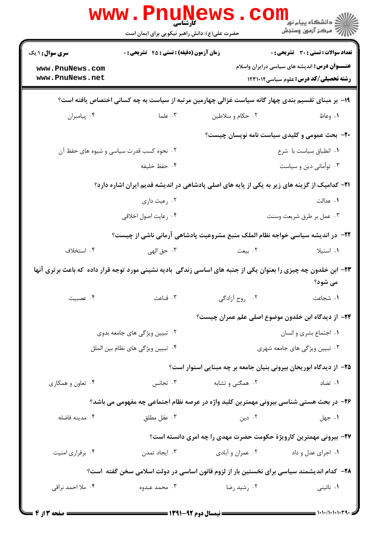|                                                                                                                           | www.Pnun<br><b>کارشناسی</b><br>حضرت علی(ع): دانش راهبر نیکویی برای ایمان است |                                                                                                      | ڪ دانشڪاه پيا <sub>م</sub> نور<br><mark>∕</mark> 7 مرڪز آزمون وسنڊش                                  |  |  |
|---------------------------------------------------------------------------------------------------------------------------|------------------------------------------------------------------------------|------------------------------------------------------------------------------------------------------|------------------------------------------------------------------------------------------------------|--|--|
| <b>سری سوال : ۱ یک</b>                                                                                                    | <b>زمان آزمون (دقیقه) : تستی : 45 تشریحی : 0</b>                             |                                                                                                      | تعداد سوالات : تستى : 30 - تشريحي : 0                                                                |  |  |
| www.PnuNews.com<br>www.PnuNews.net                                                                                        |                                                                              |                                                                                                      | <b>عنـــوان درس:</b> اندیشه های سیاسی درایران واسلام<br><b>رشته تحصیلی/کد درس:</b> علوم سیاسی1۲۳۱۰۱۲ |  |  |
| ۱۹- بر مبنای تقسیم بندی چهار گانه سیاست غزالی چهارمین مرتبه از سیاست به چه کسانی اختصاص یافته است؟                        |                                                                              |                                                                                                      |                                                                                                      |  |  |
| ۰۴ پیامبران                                                                                                               | ۰۳ علما                                                                      | ۰۲ حکام و سلاطين                                                                                     | ۱. وعاظ                                                                                              |  |  |
|                                                                                                                           |                                                                              | <b>۲۰</b> - بحث عمومی و کلیدی سیاست نامه نویسان چیست؟                                                |                                                                                                      |  |  |
|                                                                                                                           | ۰۲ نحوه کسب قدرت سیاسی و شیوه های حفظ آن                                     | ٠١ انطباق سياست با شرع                                                                               |                                                                                                      |  |  |
|                                                                                                                           | ۰۴ حفظ خليفه                                                                 |                                                                                                      | ۰۳ توأماني دين و سياست                                                                               |  |  |
|                                                                                                                           |                                                                              | <b>۲۱</b> – کدامیک از گزینه های زیر به یکی از پایه های اصلی پادشاهی در اندیشه قدیم ایران اشاره دارد؟ |                                                                                                      |  |  |
|                                                                                                                           | ۰۲ رعیت داری                                                                 |                                                                                                      | ۰۱ عدالت                                                                                             |  |  |
|                                                                                                                           | ۰۴ رعايت اصول اخلاقي                                                         |                                                                                                      | ۰۳ عمل بر طرق شريعت وسنت                                                                             |  |  |
|                                                                                                                           |                                                                              | ۲۲– در اندیشه سیاسی خواجه نظام الملک منبع مشروعیت پادشاهی آرمانی ناشی از چیست؟                       |                                                                                                      |  |  |
| ۰۴ استخلاف                                                                                                                | ۰۳ حق الهي                                                                   | ۲. بیعت                                                                                              | ۰۱ استیلا                                                                                            |  |  |
| ۲۳- ابن خلدون چه چیزی را بعنوان یکی از جنبه های اساسی زندگی بادیه نشینی مورد توجه قرار داده که باعث برتری آنها<br>می شود؟ |                                                                              |                                                                                                      |                                                                                                      |  |  |
| ۰۴ عصبيت                                                                                                                  | ۰۳ قناعت                                                                     | ٢. روح آزادگی                                                                                        | ٠١. شجاعت                                                                                            |  |  |
|                                                                                                                           |                                                                              | ۲۴– از دیدگاه ابن خلدون موضوع اصلی علم عمران چیست؟                                                   |                                                                                                      |  |  |
|                                                                                                                           | ۲. تبیین ویژگی های جامعه بدوی                                                |                                                                                                      | ٠١ اجتماع بشرى و انسان                                                                               |  |  |
| ۰۴ تبيين ويژگى هاى نظام بين الملل                                                                                         |                                                                              | ۰۳ تبیین ویژگی های جامعه شهری                                                                        |                                                                                                      |  |  |
|                                                                                                                           |                                                                              | ۲۵– از دیدگاه ابوریحان بیرونی بنیان جامعه بر چه مبنایی استوار است؟                                   |                                                                                                      |  |  |
| ۰۴ تعاون و همکاری                                                                                                         | ۰۳ تجانس                                                                     | ۰۲ همگنی و تشابه                                                                                     | ۰۱ تضاد                                                                                              |  |  |
| ۲۶- در بحث هستی شناسی بیرونی مهمترین کلید واژه در عرصه نظام اجتماعی چه مفهومی می باشد؟                                    |                                                                              |                                                                                                      |                                                                                                      |  |  |
| ۰۴ مدينه فاضله                                                                                                            | ۰۳ عقل مطلق                                                                  | ۰۲ دین                                                                                               | ۰۱ جهل                                                                                               |  |  |
|                                                                                                                           |                                                                              | ۲۷- بیرونی مهمترین کارویژهٔ حکومت حضرت مهدی را چه امری دانسته است؟                                   |                                                                                                      |  |  |
| ۰۴ برقراري امنيت                                                                                                          | ۰۳ ایجاد تمدن                                                                | ۰۲ عمران و آبادي                                                                                     | ۰۱ اجرای عدل و داد                                                                                   |  |  |
| ۲۸– کدام اندیشمند سیاسی برای نخستین بار از لزوم قانون اساسی در دولت اسلامی سخن گفته  ست؟                                  |                                                                              |                                                                                                      |                                                                                                      |  |  |
| ۰۴ ملا احمد نراقی                                                                                                         | ۰۳ محمد عبدوه                                                                | ۰۲ رشید رضا                                                                                          | ۰۱ نائینی                                                                                            |  |  |
|                                                                                                                           |                                                                              |                                                                                                      | $= 1.1.0333334$                                                                                      |  |  |